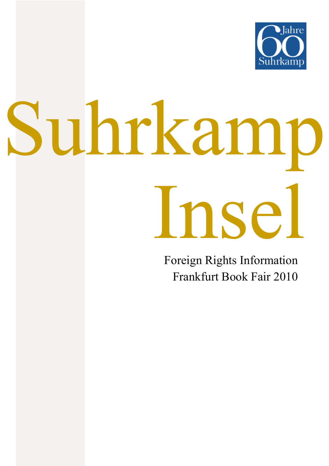

# Suhrkamp Insel

Foreign Rights Information Frankfurt Book Fair 2010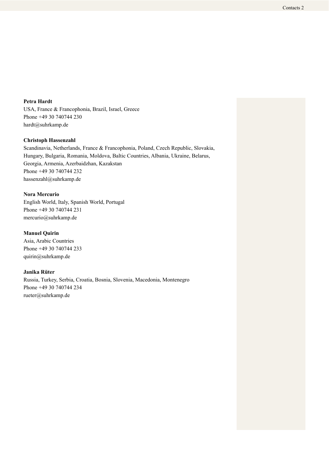**Petra Hardt**  USA, France & Francophonia, Brazil, Israel, Greece Phone +49 30 740744 230 hardt@suhrkamp.de

# **Christoph Hassenzahl**

Scandinavia, Netherlands, France & Francophonia, Poland, Czech Republic, Slovakia, Hungary, Bulgaria, Romania, Moldova, Baltic Countries, Albania, Ukraine, Belarus, Georgia, Armenia, Azerbaidzhan, Kazakstan Phone +49 30 740744 232 hassenzahl@suhrkamp.de

### **Nora Mercurio**

English World, Italy, Spanish World, Portugal Phone +49 30 740744 231 mercurio@suhrkamp.de

# **Manuel Quirin**

Asia, Arabic Countries Phone +49 30 740744 233 quirin@suhrkamp.de

# **Janika Rüter**

Russia, Turkey, Serbia, Croatia, Bosnia, Slovenia, Macedonia, Montenegro Phone +49 30 740744 234 rueter@suhrkamp.de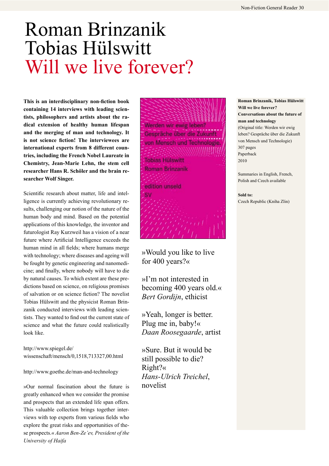# Roman Brinzanik Tobias Hülswitt Will we live forever?

This is an interdisciplinary non-fiction book **containing 14 interviews with leading scien**tists, philosophers and artists about the ra**dical extension of healthy human lifespan and the merging of man and technology. It**  is not science fiction! The interviewees are **international experts from 8 different coun**tries, including the French Nobel Laureate in Chemistry, Jean-Marie Lehn, the stem cell **researcher Hans R. Schöler and the brain researcher Wolf Singer.**

Scientific research about matter, life and intelligence is currently achieving revolutionary results, challenging our notion of the nature of the human body and mind. Based on the potential applications of this knowledge, the inventor and futurologist Ray Kurzweil has a vision of a near future where Artificial Intelligence exceeds the human mind in all fields; where humans merge with technology; where diseases and ageing will be fought by genetic engineering and nanomedicine; and finally, where nobody will have to die by natural causes. To which extent are these predictions based on science, on religious promises of salvation or on science fiction? The novelist Tobias Hülswitt and the physicist Roman Brinzanik conducted interviews with leading scientists. They wanted to find out the current state of science and what the future could realistically look like.

http://www.spiegel.de/ wissenschaft/mensch/0,1518,713327,00.html

http://www.goethe.de/man-and-technology

»Our normal fascination about the future is novelist greatly enhanced when we consider the promise and prospects that an extended life span offers. This valuable collection brings together interviews with top experts from various fields who explore the great risks and opportunities of these prospects.« *Aaron Ben-Ze'ev, President of the University of Haifa*



»Would you like to live for 400 years?«

»I'm not interested in becoming 400 years old.« *Bert Gordijn*, ethicist

»Yeah, longer is better. Plug me in, baby!« *Daan Roosegaarde*, artist

»Sure. But it would be still possible to die? Right?« *Hans-Ulrich Treichel*,

**Roman Brinzanik, Tobias Hülswitt Will we live forever? Conversations about the future of man and technology**  (Original title: Werden wir ewig leben? Gespräche über die Zukunft von Mensch und Technologie) 307 pages Paperback 2010

Summaries in English, French, Polish and Czech available

**Sold to:**  Czech Republic (Kniha Zlin)